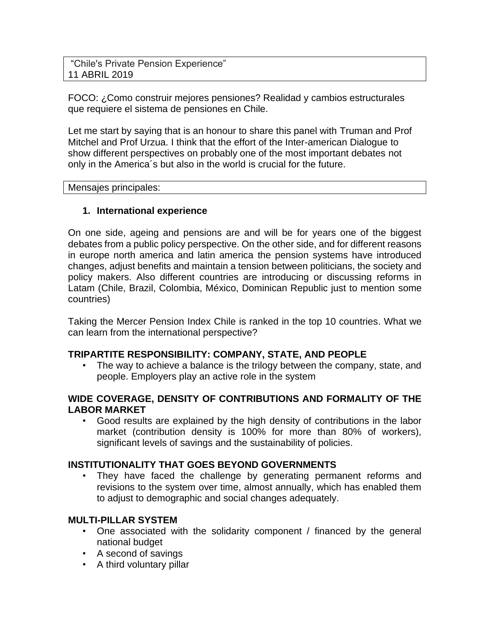"Chile's Private Pension Experience" 11 ABRIL 2019

FOCO: ¿Como construir mejores pensiones? Realidad y cambios estructurales que requiere el sistema de pensiones en Chile.

Let me start by saying that is an honour to share this panel with Truman and Prof Mitchel and Prof Urzua. I think that the effort of the Inter-american Dialogue to show different perspectives on probably one of the most important debates not only in the America´s but also in the world is crucial for the future.

Mensajes principales:

# **1. International experience**

On one side, ageing and pensions are and will be for years one of the biggest debates from a public policy perspective. On the other side, and for different reasons in europe north america and latin america the pension systems have introduced changes, adjust benefits and maintain a tension between politicians, the society and policy makers. Also different countries are introducing or discussing reforms in Latam (Chile, Brazil, Colombia, México, Dominican Republic just to mention some countries)

Taking the Mercer Pension Index Chile is ranked in the top 10 countries. What we can learn from the international perspective?

# **TRIPARTITE RESPONSIBILITY: COMPANY, STATE, AND PEOPLE**

The way to achieve a balance is the trilogy between the company, state, and people. Employers play an active role in the system

# **WIDE COVERAGE, DENSITY OF CONTRIBUTIONS AND FORMALITY OF THE LABOR MARKET**

• Good results are explained by the high density of contributions in the labor market (contribution density is 100% for more than 80% of workers), significant levels of savings and the sustainability of policies.

# **INSTITUTIONALITY THAT GOES BEYOND GOVERNMENTS**

They have faced the challenge by generating permanent reforms and revisions to the system over time, almost annually, which has enabled them to adjust to demographic and social changes adequately.

# **MULTI-PILLAR SYSTEM**

- One associated with the solidarity component / financed by the general national budget
- A second of savings
- A third voluntary pillar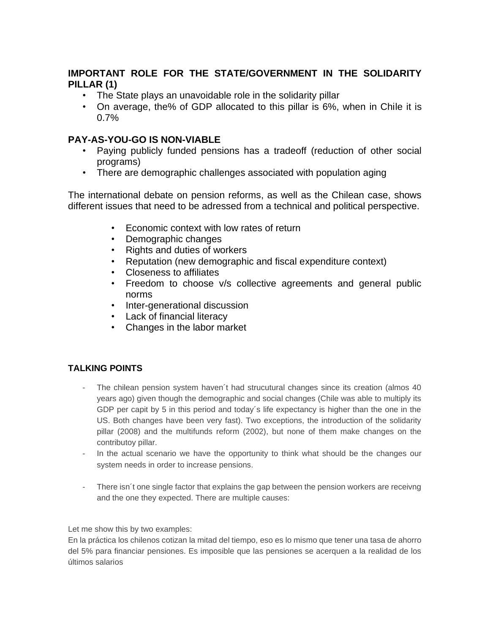# **IMPORTANT ROLE FOR THE STATE/GOVERNMENT IN THE SOLIDARITY PILLAR (1)**

- The State plays an unavoidable role in the solidarity pillar
- On average, the% of GDP allocated to this pillar is 6%, when in Chile it is 0.7%

# **PAY-AS-YOU-GO IS NON-VIABLE**

- Paying publicly funded pensions has a tradeoff (reduction of other social programs)
- There are demographic challenges associated with population aging

The international debate on pension reforms, as well as the Chilean case, shows different issues that need to be adressed from a technical and political perspective.

- Economic context with low rates of return
- Demographic changes
- Rights and duties of workers
- Reputation (new demographic and fiscal expenditure context)
- Closeness to affiliates
- Freedom to choose v/s collective agreements and general public norms
- Inter-generational discussion
- Lack of financial literacy
- Changes in the labor market

# **TALKING POINTS**

- The chilean pension system haven't had strucutural changes since its creation (almos 40 years ago) given though the demographic and social changes (Chile was able to multiply its GDP per capit by 5 in this period and today´s life expectancy is higher than the one in the US. Both changes have been very fast). Two exceptions, the introduction of the solidarity pillar (2008) and the multifunds reform (2002), but none of them make changes on the contributoy pillar.
- In the actual scenario we have the opportunity to think what should be the changes our system needs in order to increase pensions.
- There isn't one single factor that explains the gap between the pension workers are receivng and the one they expected. There are multiple causes:

Let me show this by two examples:

En la práctica los chilenos cotizan la mitad del tiempo, eso es lo mismo que tener una tasa de ahorro del 5% para financiar pensiones. Es imposible que las pensiones se acerquen a la realidad de los últimos salarios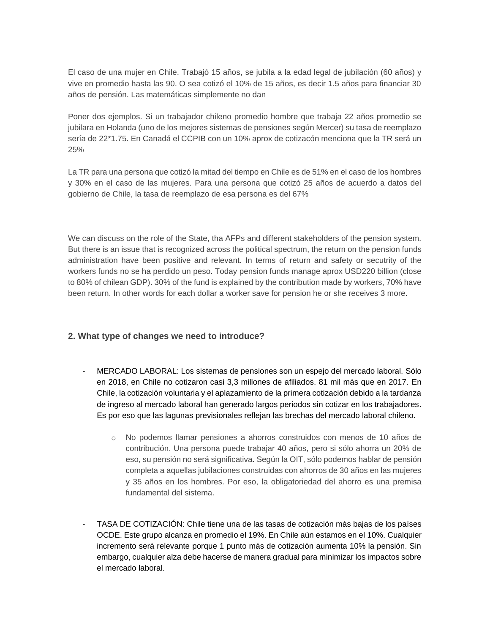El caso de una mujer en Chile. Trabajó 15 años, se jubila a la edad legal de jubilación (60 años) y vive en promedio hasta las 90. O sea cotizó el 10% de 15 años, es decir 1.5 años para financiar 30 años de pensión. Las matemáticas simplemente no dan

Poner dos ejemplos. Si un trabajador chileno promedio hombre que trabaja 22 años promedio se jubilara en Holanda (uno de los mejores sistemas de pensiones según Mercer) su tasa de reemplazo sería de 22\*1.75. En Canadá el CCPIB con un 10% aprox de cotizacón menciona que la TR será un 25%

La TR para una persona que cotizó la mitad del tiempo en Chile es de 51% en el caso de los hombres y 30% en el caso de las mujeres. Para una persona que cotizó 25 años de acuerdo a datos del gobierno de Chile, la tasa de reemplazo de esa persona es del 67%

We can discuss on the role of the State, tha AFPs and different stakeholders of the pension system. But there is an issue that is recognized across the political spectrum, the return on the pension funds administration have been positive and relevant. In terms of return and safety or secutrity of the workers funds no se ha perdido un peso. Today pension funds manage aprox USD220 billion (close to 80% of chilean GDP). 30% of the fund is explained by the contribution made by workers, 70% have been return. In other words for each dollar a worker save for pension he or she receives 3 more.

#### **2. What type of changes we need to introduce?**

- MERCADO LABORAL: Los sistemas de pensiones son un espejo del mercado laboral. Sólo en 2018, en Chile no cotizaron casi 3,3 millones de afiliados. 81 mil más que en 2017. En Chile, la cotización voluntaria y el aplazamiento de la primera cotización debido a la tardanza de ingreso al mercado laboral han generado largos periodos sin cotizar en los trabajadores. Es por eso que las lagunas previsionales reflejan las brechas del mercado laboral chileno.
	- o No podemos llamar pensiones a ahorros construidos con menos de 10 años de contribución. Una persona puede trabajar 40 años, pero si sólo ahorra un 20% de eso, su pensión no será significativa. Según la OIT, sólo podemos hablar de pensión completa a aquellas jubilaciones construidas con ahorros de 30 años en las mujeres y 35 años en los hombres. Por eso, la obligatoriedad del ahorro es una premisa fundamental del sistema.
- TASA DE COTIZACIÓN: Chile tiene una de las tasas de cotización más bajas de los países OCDE. Este grupo alcanza en promedio el 19%. En Chile aún estamos en el 10%. Cualquier incremento será relevante porque 1 punto más de cotización aumenta 10% la pensión. Sin embargo, cualquier alza debe hacerse de manera gradual para minimizar los impactos sobre el mercado laboral.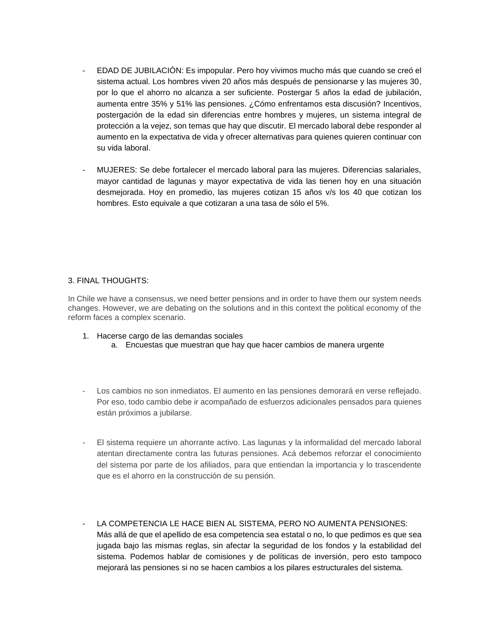- EDAD DE JUBILACIÓN: Es impopular. Pero hoy vivimos mucho más que cuando se creó el sistema actual. Los hombres viven 20 años más después de pensionarse y las mujeres 30, por lo que el ahorro no alcanza a ser suficiente. Postergar 5 años la edad de jubilación, aumenta entre 35% y 51% las pensiones. ¿Cómo enfrentamos esta discusión? Incentivos, postergación de la edad sin diferencias entre hombres y mujeres, un sistema integral de protección a la vejez, son temas que hay que discutir. El mercado laboral debe responder al aumento en la expectativa de vida y ofrecer alternativas para quienes quieren continuar con su vida laboral.
- MUJERES: Se debe fortalecer el mercado laboral para las mujeres. Diferencias salariales, mayor cantidad de lagunas y mayor expectativa de vida las tienen hoy en una situación desmejorada. Hoy en promedio, las mujeres cotizan 15 años v/s los 40 que cotizan los hombres. Esto equivale a que cotizaran a una tasa de sólo el 5%.

#### 3. FINAL THOUGHTS:

In Chile we have a consensus, we need better pensions and in order to have them our system needs changes. However, we are debating on the solutions and in this context the political economy of the reform faces a complex scenario.

- 1. Hacerse cargo de las demandas sociales
	- a. Encuestas que muestran que hay que hacer cambios de manera urgente
- Los cambios no son inmediatos. El aumento en las pensiones demorará en verse reflejado. Por eso, todo cambio debe ir acompañado de esfuerzos adicionales pensados para quienes están próximos a jubilarse.
- El sistema requiere un ahorrante activo. Las lagunas y la informalidad del mercado laboral atentan directamente contra las futuras pensiones. Acá debemos reforzar el conocimiento del sistema por parte de los afiliados, para que entiendan la importancia y lo trascendente que es el ahorro en la construcción de su pensión.
- LA COMPETENCIA LE HACE BIEN AL SISTEMA, PERO NO AUMENTA PENSIONES: Más allá de que el apellido de esa competencia sea estatal o no, lo que pedimos es que sea jugada bajo las mismas reglas, sin afectar la seguridad de los fondos y la estabilidad del sistema. Podemos hablar de comisiones y de políticas de inversión, pero esto tampoco mejorará las pensiones si no se hacen cambios a los pilares estructurales del sistema.